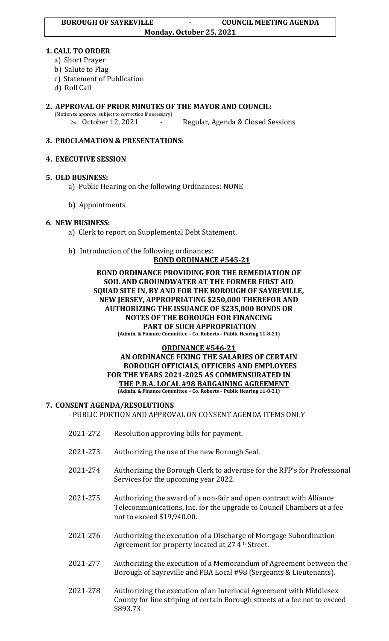#### **1. CALL TO ORDER**

- a) Short Prayer
- b) Salute to Flag
- c) Statement of Publication
- d) Roll Call

# **2. APPROVAL OF PRIOR MINUTES OF THE MAYOR AND COUNCIL:**

(Motion to approve, subject to correction if necessary)

October 12, 2021 - Regular, Agenda & Closed Sessions

## **3. PROCLAMATION & PRESENTATIONS:**

### **4. EXECUTIVE SESSION**

### **5. OLD BUSINESS:**

- a) Public Hearing on the following Ordinances: NONE
- b) Appointments

### **6**. **NEW BUSINESS:**

- a) Clerk to report on Supplemental Debt Statement.
- b) Introduction of the following ordinances:

### **BOND ORDINANCE #545-21**

#### **BOND ORDINANCE PROVIDING FOR THE REMEDIATION OF SOIL AND GROUNDWATER AT THE FORMER FIRST AID SQUAD SITE IN, BY AND FOR THE BOROUGH OF SAYREVILLE, NEW JERSEY, APPROPRIATING \$250,000 THEREFOR AND AUTHORIZING THE ISSUANCE OF \$235,000 BONDS OR NOTES OF THE BOROUGH FOR FINANCING PART OF SUCH APPROPRIATION**

**(Admin. & Finance Committee – Co. Roberts – Public Hearing 11-8-21)**

#### **ORDINANCE #546-21 AN ORDINANCE FIXING THE SALARIES OF CERTAIN BOROUGH OFFICIALS, OFFICERS AND EMPLOYEES FOR THE YEARS 2021-2025 AS COMMENSURATED IN THE P.B.A. LOCAL #98 BARGAINING AGREEMENT**

**(Admin. & Finance Committee – Co. Roberts – Public Hearing 11-8-21)**

#### **7. CONSENT AGENDA/RESOLUTIONS**

#### - PUBLIC PORTION AND APPROVAL ON CONSENT AGENDA ITEMS ONLY

- 2021-272 Resolution approving bills for payment.
- 2021-273 Authorizing the use of the new Borough Seal.
- 2021-274 Authorizing the Borough Clerk to advertise for the RFP's for Professional Services for the upcoming year 2022.
- 2021-275 Authorizing the award of a non-fair and open contract with Alliance Telecommunications, Inc. for the upgrade to Council Chambers at a fee not to exceed \$19,940.00.
- 2021-276 Authorizing the execution of a Discharge of Mortgage Subordination Agreement for property located at 27 4<sup>th</sup> Street.
- 2021-277 Authorizing the execution of a Memorandum of Agreement between the Borough of Sayreville and PBA Local #98 (Sergeants & Lieutenants).
- 2021-278 Authorizing the execution of an Interlocal Agreement with Middlesex County for line striping of certain Borough streets at a fee not to exceed \$893.73